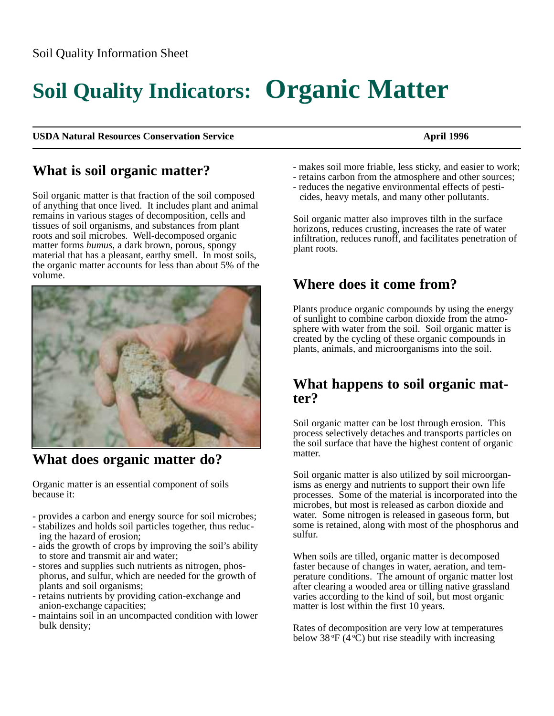# **Soil Quality Indicators: Organic Matter**

#### **USDA Natural Resources Conservation Service April 1996** April 1996

# **What is soil organic matter?**

Soil organic matter is that fraction of the soil composed of anything that once lived. It includes plant and animal remains in various stages of decomposition, cells and tissues of soil organisms, and substances from plant roots and soil microbes. Well-decomposed organic matter forms *humus*, a dark brown, porous, spongy material that has a pleasant, earthy smell. In most soils, the organic matter accounts for less than about 5% of the volume.



**What does organic matter do?**

Organic matter is an essential component of soils because it:

- provides a carbon and energy source for soil microbes;
- stabilizes and holds soil particles together, thus reducing the hazard of erosion;
- aids the growth of crops by improving the soil's ability to store and transmit air and water;
- stores and supplies such nutrients as nitrogen, phosphorus, and sulfur, which are needed for the growth of plants and soil organisms;
- retains nutrients by providing cation-exchange and anion-exchange capacities;
- maintains soil in an uncompacted condition with lower bulk density;
- makes soil more friable, less sticky, and easier to work;
- retains carbon from the atmosphere and other sources;
- reduces the negative environmental effects of pesticides, heavy metals, and many other pollutants.

Soil organic matter also improves tilth in the surface horizons, reduces crusting, increases the rate of water infiltration, reduces runoff, and facilitates penetration of plant roots.

# **Where does it come from?**

Plants produce organic compounds by using the energy of sunlight to combine carbon dioxide from the atmosphere with water from the soil. Soil organic matter is created by the cycling of these organic compounds in plants, animals, and microorganisms into the soil.

## **What happens to soil organic matter?**

Soil organic matter can be lost through erosion. This process selectively detaches and transports particles on the soil surface that have the highest content of organic matter.

Soil organic matter is also utilized by soil microorganisms as energy and nutrients to support their own life processes. Some of the material is incorporated into the microbes, but most is released as carbon dioxide and water. Some nitrogen is released in gaseous form, but some is retained, along with most of the phosphorus and sulfur.

When soils are tilled, organic matter is decomposed faster because of changes in water, aeration, and temperature conditions. The amount of organic matter lost after clearing a wooded area or tilling native grassland varies according to the kind of soil, but most organic matter is lost within the first 10 years.

Rates of decomposition are very low at temperatures below 38  $\mathrm{F}$  (4  $\mathrm{C}$ ) but rise steadily with increasing